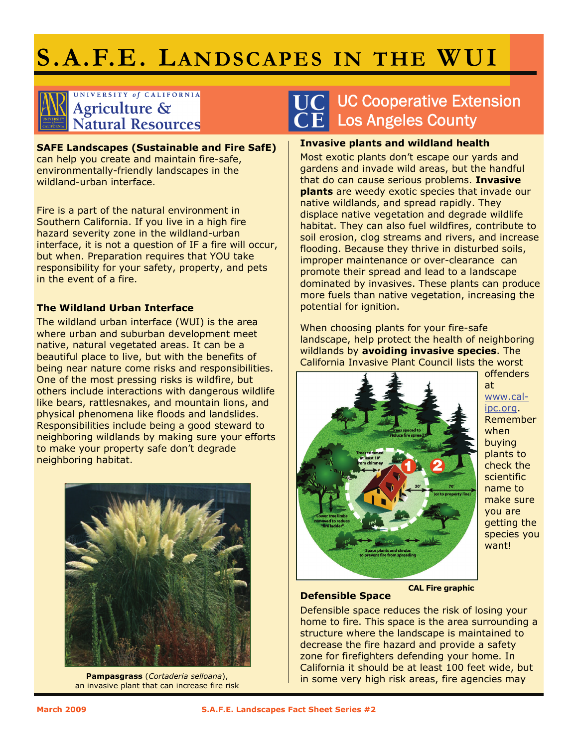# **S.A.F.E. LANDSCAPES IN THE WUI**

# UNIVERSITY of CALIFORNIA Agriculture &<br>Natural Resources

**SAFE Landscapes (Sustainable and Fire SafE)**  can help you create and maintain fire-safe, environmentally-friendly landscapes in the wildland-urban interface.

Fire is a part of the natural environment in Southern California. If you live in a high fire hazard severity zone in the wildland-urban interface, it is not a question of IF a fire will occur, but when. Preparation requires that YOU take responsibility for your safety, property, and pets in the event of a fire.

### **The Wildland Urban Interface**

The wildland urban interface (WUI) is the area where urban and suburban development meet native, natural vegetated areas. It can be a beautiful place to live, but with the benefits of being near nature come risks and responsibilities. One of the most pressing risks is wildfire, but others include interactions with dangerous wildlife like bears, rattlesnakes, and mountain lions, and physical phenomena like floods and landslides. Responsibilities include being a good steward to neighboring wildlands by making sure your efforts to make your property safe don't degrade neighboring habitat.



an invasive plant that can increase fire risk

## UC Cooperative Extension Los Angeles County

#### **Invasive plants and wildland health**

Most exotic plants don't escape our yards and gardens and invade wild areas, but the handful that do can cause serious problems. **Invasive plants** are weedy exotic species that invade our native wildlands, and spread rapidly. They displace native vegetation and degrade wildlife habitat. They can also fuel wildfires, contribute to soil erosion, clog streams and rivers, and increase flooding. Because they thrive in disturbed soils, improper maintenance or over-clearance can promote their spread and lead to a landscape dominated by invasives. These plants can produce more fuels than native vegetation, increasing the potential for ignition.

When choosing plants for your fire-safe landscape, help protect the health of neighboring wildlands by **avoiding invasive species**. The California Invasive Plant Council lists the worst



offenders at www.calipc.org. Remember when buying plants to check the scientific name to make sure you are getting the species you want!

**Defensible Space CAL Fire graphic** 

#### Defensible space reduces the risk of losing your home to fire. This space is the area surrounding a structure where the landscape is maintained to decrease the fire hazard and provide a safety zone for firefighters defending your home. In California it should be at least 100 feet wide, but in some very high risk areas, fire agencies may **Pampasgrass** (*Cortaderia selloana*),